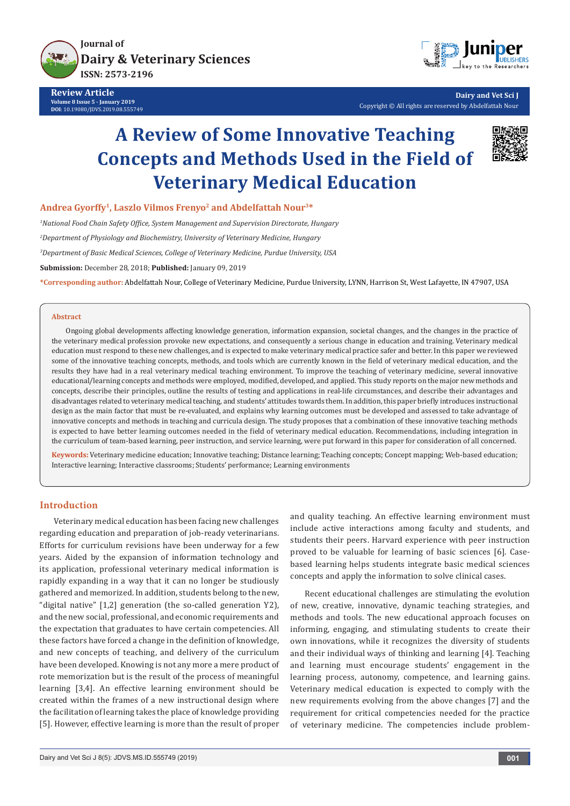

**Review Article Volume 8 Issue 5 - January 2019 DOI**: [10.19080/JDVS.2019.08.555749](http://dx.doi.org/10.19080/JDVS.2019.08.555749)



**Dairy and Vet Sci J** Copyright © All rights are reserved by Abdelfattah Nour

# **A Review of Some Innovative Teaching Concepts and Methods Used in the Field of Veterinary Medical Education**



## **Andrea Gyorffy1, Laszlo Vilmos Frenyo2 and Abdelfattah Nour3\***

*1 National Food Chain Safety Office, System Management and Supervision Directorate, Hungary*

*2 Department of Physiology and Biochemistry, University of Veterinary Medicine, Hungary*

*3 Department of Basic Medical Sciences, College of Veterinary Medicine, Purdue University, USA*

**Submission:** December 28, 2018; **Published:** January 09, 2019

**\*Corresponding author:** Abdelfattah Nour, College of Veterinary Medicine, Purdue University, LYNN, Harrison St, West Lafayette, IN 47907, USA

#### **Abstract**

Ongoing global developments affecting knowledge generation, information expansion, societal changes, and the changes in the practice of the veterinary medical profession provoke new expectations, and consequently a serious change in education and training. Veterinary medical education must respond to these new challenges, and is expected to make veterinary medical practice safer and better. In this paper we reviewed some of the innovative teaching concepts, methods, and tools which are currently known in the field of veterinary medical education, and the results they have had in a real veterinary medical teaching environment. To improve the teaching of veterinary medicine, several innovative educational/learning concepts and methods were employed, modified, developed, and applied. This study reports on the major new methods and concepts, describe their principles, outline the results of testing and applications in real-life circumstances, and describe their advantages and disadvantages related to veterinary medical teaching, and students' attitudes towards them. In addition, this paper briefly introduces instructional design as the main factor that must be re-evaluated, and explains why learning outcomes must be developed and assessed to take advantage of innovative concepts and methods in teaching and curricula design. The study proposes that a combination of these innovative teaching methods is expected to have better learning outcomes needed in the field of veterinary medical education. Recommendations, including integration in the curriculum of team-based learning, peer instruction, and service learning, were put forward in this paper for consideration of all concerned.

**Keywords:** Veterinary medicine education; Innovative teaching; Distance learning; Teaching concepts; Concept mapping; Web-based education; Interactive learning; Interactive classrooms; Students' performance; Learning environments

### **Introduction**

Veterinary medical education has been facing new challenges regarding education and preparation of job-ready veterinarians. Efforts for curriculum revisions have been underway for a few years. Aided by the expansion of information technology and its application, professional veterinary medical information is rapidly expanding in a way that it can no longer be studiously gathered and memorized. In addition, students belong to the new, "digital native" [1,2] generation (the so-called generation Y2), and the new social, professional, and economic requirements and the expectation that graduates to have certain competencies. All these factors have forced a change in the definition of knowledge, and new concepts of teaching, and delivery of the curriculum have been developed. Knowing is not any more a mere product of rote memorization but is the result of the process of meaningful learning [3,4]. An effective learning environment should be created within the frames of a new instructional design where the facilitation of learning takes the place of knowledge providing [5]. However, effective learning is more than the result of proper

and quality teaching. An effective learning environment must include active interactions among faculty and students, and students their peers. Harvard experience with peer instruction proved to be valuable for learning of basic sciences [6]. Casebased learning helps students integrate basic medical sciences concepts and apply the information to solve clinical cases.

Recent educational challenges are stimulating the evolution of new, creative, innovative, dynamic teaching strategies, and methods and tools. The new educational approach focuses on informing, engaging, and stimulating students to create their own innovations, while it recognizes the diversity of students and their individual ways of thinking and learning [4]. Teaching and learning must encourage students' engagement in the learning process, autonomy, competence, and learning gains. Veterinary medical education is expected to comply with the new requirements evolving from the above changes [7] and the requirement for critical competencies needed for the practice of veterinary medicine. The competencies include problem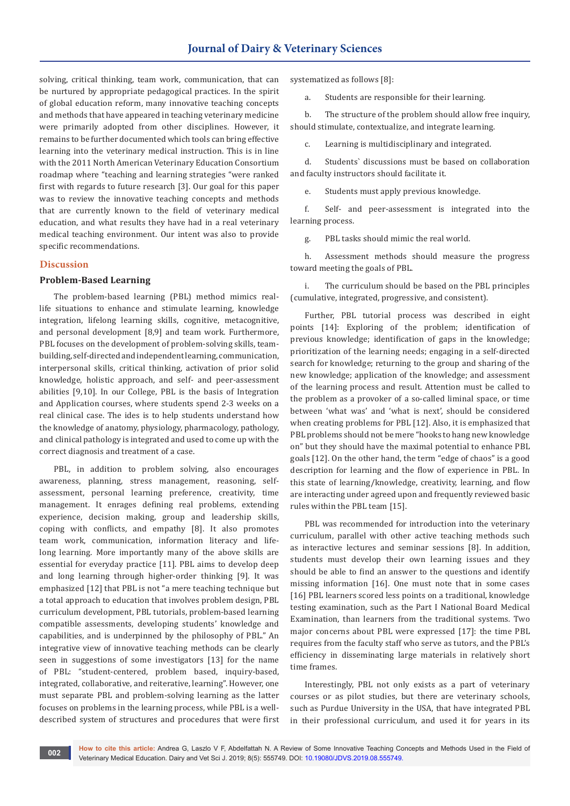solving, critical thinking, team work, communication, that can be nurtured by appropriate pedagogical practices. In the spirit of global education reform, many innovative teaching concepts and methods that have appeared in teaching veterinary medicine were primarily adopted from other disciplines. However, it remains to be further documented which tools can bring effective learning into the veterinary medical instruction. This is in line with the 2011 North American Veterinary Education Consortium roadmap where "teaching and learning strategies "were ranked first with regards to future research [3]. Our goal for this paper was to review the innovative teaching concepts and methods that are currently known to the field of veterinary medical education, and what results they have had in a real veterinary medical teaching environment. Our intent was also to provide specific recommendations.

### **Discussion**

### **Problem-Based Learning**

The problem-based learning (PBL) method mimics reallife situations to enhance and stimulate learning, knowledge integration, lifelong learning skills, cognitive, metacognitive, and personal development [8,9] and team work. Furthermore, PBL focuses on the development of problem-solving skills, teambuilding, self-directed and independent learning, communication, interpersonal skills, critical thinking, activation of prior solid knowledge, holistic approach, and self- and peer-assessment abilities [9,10]. In our College, PBL is the basis of Integration and Application courses, where students spend 2-3 weeks on a real clinical case. The ides is to help students understand how the knowledge of anatomy, physiology, pharmacology, pathology, and clinical pathology is integrated and used to come up with the correct diagnosis and treatment of a case.

PBL, in addition to problem solving, also encourages awareness, planning, stress management, reasoning, selfassessment, personal learning preference, creativity, time management. It enrages defining real problems, extending experience, decision making, group and leadership skills, coping with conflicts, and empathy [8]. It also promotes team work, communication, information literacy and lifelong learning. More importantly many of the above skills are essential for everyday practice [11]. PBL aims to develop deep and long learning through higher-order thinking [9]. It was emphasized [12] that PBL is not "a mere teaching technique but a total approach to education that involves problem design, PBL curriculum development, PBL tutorials, problem-based learning compatible assessments, developing students' knowledge and capabilities, and is underpinned by the philosophy of PBL." An integrative view of innovative teaching methods can be clearly seen in suggestions of some investigators [13] for the name of PBL: "student-centered, problem based, inquiry-based, integrated, collaborative, and reiterative, learning". However, one must separate PBL and problem-solving learning as the latter focuses on problems in the learning process, while PBL is a welldescribed system of structures and procedures that were first systematized as follows [8]:

a. Students are responsible for their learning.

b. The structure of the problem should allow free inquiry, should stimulate, contextualize, and integrate learning.

c. Learning is multidisciplinary and integrated.

d. Students` discussions must be based on collaboration and faculty instructors should facilitate it.

e. Students must apply previous knowledge.

f. Self- and peer-assessment is integrated into the learning process.

g. PBL tasks should mimic the real world.

h. Assessment methods should measure the progress toward meeting the goals of PBL.

i. The curriculum should be based on the PBL principles (cumulative, integrated, progressive, and consistent).

Further, PBL tutorial process was described in eight points [14]: Exploring of the problem; identification of previous knowledge; identification of gaps in the knowledge; prioritization of the learning needs; engaging in a self-directed search for knowledge; returning to the group and sharing of the new knowledge; application of the knowledge; and assessment of the learning process and result. Attention must be called to the problem as a provoker of a so-called liminal space, or time between 'what was' and 'what is next', should be considered when creating problems for PBL [12]. Also, it is emphasized that PBL problems should not be mere "hooks to hang new knowledge on" but they should have the maximal potential to enhance PBL goals [12]. On the other hand, the term "edge of chaos" is a good description for learning and the flow of experience in PBL. In this state of learning/knowledge, creativity, learning, and flow are interacting under agreed upon and frequently reviewed basic rules within the PBL team [15].

PBL was recommended for introduction into the veterinary curriculum, parallel with other active teaching methods such as interactive lectures and seminar sessions [8]. In addition, students must develop their own learning issues and they should be able to find an answer to the questions and identify missing information [16]. One must note that in some cases [16] PBL learners scored less points on a traditional, knowledge testing examination, such as the Part I National Board Medical Examination, than learners from the traditional systems. Two major concerns about PBL were expressed [17]: the time PBL requires from the faculty staff who serve as tutors, and the PBL's efficiency in disseminating large materials in relatively short time frames.

Interestingly, PBL not only exists as a part of veterinary courses or as pilot studies, but there are veterinary schools, such as Purdue University in the USA, that have integrated PBL in their professional curriculum, and used it for years in its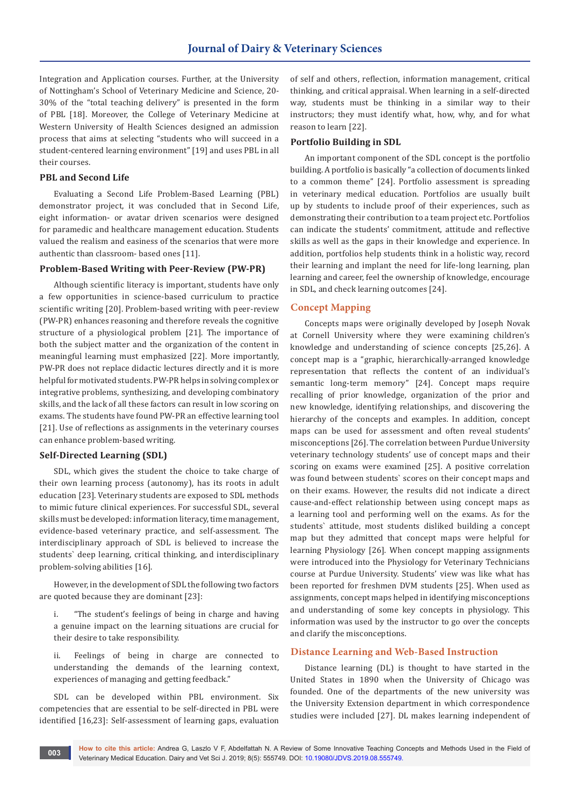Integration and Application courses. Further, at the University of Nottingham's School of Veterinary Medicine and Science, 20- 30% of the "total teaching delivery" is presented in the form of PBL [18]. Moreover, the College of Veterinary Medicine at Western University of Health Sciences designed an admission process that aims at selecting "students who will succeed in a student-centered learning environment" [19] and uses PBL in all their courses.

# **PBL and Second Life**

Evaluating a Second Life Problem-Based Learning (PBL) demonstrator project, it was concluded that in Second Life, eight information- or avatar driven scenarios were designed for paramedic and healthcare management education. Students valued the realism and easiness of the scenarios that were more authentic than classroom- based ones [11].

# **Problem-Based Writing with Peer-Review (PW-PR)**

Although scientific literacy is important, students have only a few opportunities in science-based curriculum to practice scientific writing [20]. Problem-based writing with peer-review (PW-PR) enhances reasoning and therefore reveals the cognitive structure of a physiological problem [21]. The importance of both the subject matter and the organization of the content in meaningful learning must emphasized [22]. More importantly, PW-PR does not replace didactic lectures directly and it is more helpful for motivated students. PW-PR helps in solving complex or integrative problems, synthesizing, and developing combinatory skills, and the lack of all these factors can result in low scoring on exams. The students have found PW-PR an effective learning tool [21]. Use of reflections as assignments in the veterinary courses can enhance problem-based writing.

## **Self-Directed Learning (SDL)**

SDL, which gives the student the choice to take charge of their own learning process (autonomy), has its roots in adult education [23]. Veterinary students are exposed to SDL methods to mimic future clinical experiences. For successful SDL, several skills must be developed: information literacy, time management, evidence-based veterinary practice, and self-assessment. The interdisciplinary approach of SDL is believed to increase the students` deep learning, critical thinking, and interdisciplinary problem-solving abilities [16].

However, in the development of SDL the following two factors are quoted because they are dominant [23]:

i. "The student's feelings of being in charge and having a genuine impact on the learning situations are crucial for their desire to take responsibility.

ii. Feelings of being in charge are connected to understanding the demands of the learning context, experiences of managing and getting feedback."

SDL can be developed within PBL environment. Six competencies that are essential to be self-directed in PBL were identified [16,23]: Self-assessment of learning gaps, evaluation

of self and others, reflection, information management, critical thinking, and critical appraisal. When learning in a self-directed way, students must be thinking in a similar way to their instructors; they must identify what, how, why, and for what reason to learn [22].

### **Portfolio Building in SDL**

An important component of the SDL concept is the portfolio building. A portfolio is basically "a collection of documents linked to a common theme" [24]. Portfolio assessment is spreading in veterinary medical education. Portfolios are usually built up by students to include proof of their experiences, such as demonstrating their contribution to a team project etc. Portfolios can indicate the students' commitment, attitude and reflective skills as well as the gaps in their knowledge and experience. In addition, portfolios help students think in a holistic way, record their learning and implant the need for life-long learning, plan learning and career, feel the ownership of knowledge, encourage in SDL, and check learning outcomes [24].

# **Concept Mapping**

Concepts maps were originally developed by Joseph Novak at Cornell University where they were examining children's knowledge and understanding of science concepts [25,26]. A concept map is a "graphic, hierarchically-arranged knowledge representation that reflects the content of an individual's semantic long-term memory" [24]. Concept maps require recalling of prior knowledge, organization of the prior and new knowledge, identifying relationships, and discovering the hierarchy of the concepts and examples. In addition, concept maps can be used for assessment and often reveal students' misconceptions [26]. The correlation between Purdue University veterinary technology students' use of concept maps and their scoring on exams were examined [25]. A positive correlation was found between students` scores on their concept maps and on their exams. However, the results did not indicate a direct cause-and-effect relationship between using concept maps as a learning tool and performing well on the exams. As for the students` attitude, most students disliked building a concept map but they admitted that concept maps were helpful for learning Physiology [26]. When concept mapping assignments were introduced into the Physiology for Veterinary Technicians course at Purdue University. Students' view was like what has been reported for freshmen DVM students [25]. When used as assignments, concept maps helped in identifying misconceptions and understanding of some key concepts in physiology. This information was used by the instructor to go over the concepts and clarify the misconceptions.

#### **Distance Learning and Web-Based Instruction**

Distance learning (DL) is thought to have started in the United States in 1890 when the University of Chicago was founded. One of the departments of the new university was the University Extension department in which correspondence studies were included [27]. DL makes learning independent of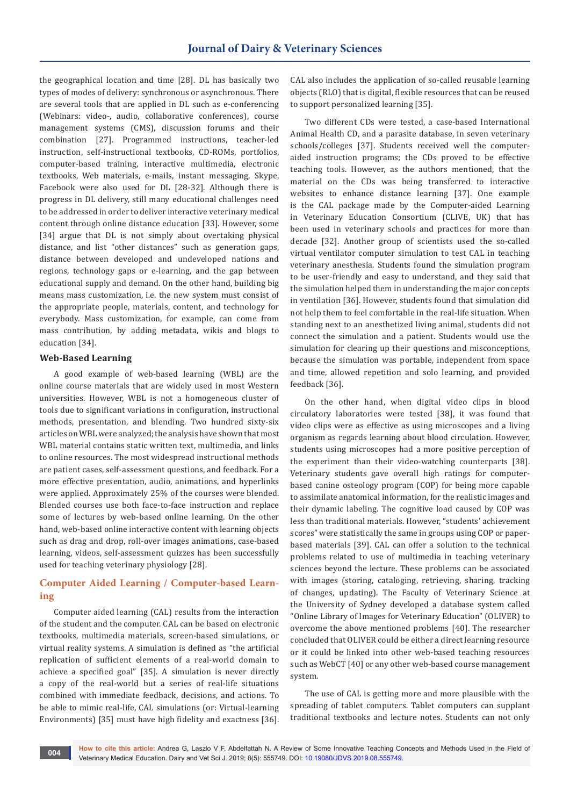the geographical location and time [28]. DL has basically two types of modes of delivery: synchronous or asynchronous. There are several tools that are applied in DL such as e-conferencing (Webinars: video-, audio, collaborative conferences), course management systems (CMS), discussion forums and their combination [27]. Programmed instructions, teacher-led instruction, self-instructional textbooks, CD-ROMs, portfolios, computer-based training, interactive multimedia, electronic textbooks, Web materials, e-mails, instant messaging, Skype, Facebook were also used for DL [28-32]. Although there is progress in DL delivery, still many educational challenges need to be addressed in order to deliver interactive veterinary medical content through online distance education [33]. However, some [34] argue that DL is not simply about overtaking physical distance, and list "other distances" such as generation gaps, distance between developed and undeveloped nations and regions, technology gaps or e-learning, and the gap between educational supply and demand. On the other hand, building big means mass customization, i.e. the new system must consist of the appropriate people, materials, content, and technology for everybody. Mass customization, for example, can come from mass contribution, by adding metadata, wikis and blogs to education [34].

## **Web-Based Learning**

A good example of web-based learning (WBL) are the online course materials that are widely used in most Western universities. However, WBL is not a homogeneous cluster of tools due to significant variations in configuration, instructional methods, presentation, and blending. Two hundred sixty-six articles on WBL were analyzed; the analysis have shown that most WBL material contains static written text, multimedia, and links to online resources. The most widespread instructional methods are patient cases, self-assessment questions, and feedback. For a more effective presentation, audio, animations, and hyperlinks were applied. Approximately 25% of the courses were blended. Blended courses use both face-to-face instruction and replace some of lectures by web-based online learning. On the other hand, web-based online interactive content with learning objects such as drag and drop, roll-over images animations, case-based learning, videos, self-assessment quizzes has been successfully used for teaching veterinary physiology [28].

# **Computer Aided Learning / Computer-based Learning**

Computer aided learning (CAL) results from the interaction of the student and the computer. CAL can be based on electronic textbooks, multimedia materials, screen-based simulations, or virtual reality systems. A simulation is defined as "the artificial replication of sufficient elements of a real-world domain to achieve a specified goal" [35]. A simulation is never directly a copy of the real-world but a series of real-life situations combined with immediate feedback, decisions, and actions. To be able to mimic real-life, CAL simulations (or: Virtual-learning Environments) [35] must have high fidelity and exactness [36].

CAL also includes the application of so-called reusable learning objects (RLO) that is digital, flexible resources that can be reused to support personalized learning [35].

Two different CDs were tested, a case-based International Animal Health CD, and a parasite database, in seven veterinary schools/colleges [37]. Students received well the computeraided instruction programs; the CDs proved to be effective teaching tools. However, as the authors mentioned, that the material on the CDs was being transferred to interactive websites to enhance distance learning [37]. One example is the CAL package made by the Computer-aided Learning in Veterinary Education Consortium (CLIVE, UK) that has been used in veterinary schools and practices for more than decade [32]. Another group of scientists used the so-called virtual ventilator computer simulation to test CAL in teaching veterinary anesthesia. Students found the simulation program to be user-friendly and easy to understand, and they said that the simulation helped them in understanding the major concepts in ventilation [36]. However, students found that simulation did not help them to feel comfortable in the real-life situation. When standing next to an anesthetized living animal, students did not connect the simulation and a patient. Students would use the simulation for clearing up their questions and misconceptions, because the simulation was portable, independent from space and time, allowed repetition and solo learning, and provided feedback [36].

On the other hand, when digital video clips in blood circulatory laboratories were tested [38], it was found that video clips were as effective as using microscopes and a living organism as regards learning about blood circulation. However, students using microscopes had a more positive perception of the experiment than their video-watching counterparts [38]. Veterinary students gave overall high ratings for computerbased canine osteology program (COP) for being more capable to assimilate anatomical information, for the realistic images and their dynamic labeling. The cognitive load caused by COP was less than traditional materials. However, "students' achievement scores" were statistically the same in groups using COP or paperbased materials [39]. CAL can offer a solution to the technical problems related to use of multimedia in teaching veterinary sciences beyond the lecture. These problems can be associated with images (storing, cataloging, retrieving, sharing, tracking of changes, updating). The Faculty of Veterinary Science at the University of Sydney developed a database system called "Online Library of Images for Veterinary Education" (OLIVER) to overcome the above mentioned problems [40]. The researcher concluded that OLIVER could be either a direct learning resource or it could be linked into other web-based teaching resources such as WebCT [40] or any other web-based course management system.

The use of CAL is getting more and more plausible with the spreading of tablet computers. Tablet computers can supplant traditional textbooks and lecture notes. Students can not only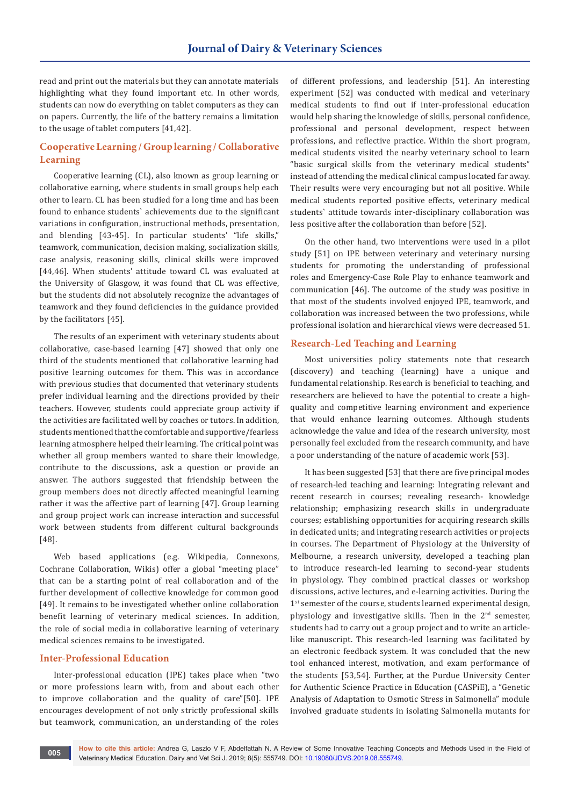read and print out the materials but they can annotate materials highlighting what they found important etc. In other words, students can now do everything on tablet computers as they can on papers. Currently, the life of the battery remains a limitation to the usage of tablet computers [41,42].

# **Cooperative Learning / Group learning / Collaborative Learning**

Cooperative learning (CL), also known as group learning or collaborative earning, where students in small groups help each other to learn. CL has been studied for a long time and has been found to enhance students` achievements due to the significant variations in configuration, instructional methods, presentation, and blending [43-45]. In particular students' "life skills," teamwork, communication, decision making, socialization skills, case analysis, reasoning skills, clinical skills were improved [44,46]. When students' attitude toward CL was evaluated at the University of Glasgow, it was found that CL was effective, but the students did not absolutely recognize the advantages of teamwork and they found deficiencies in the guidance provided by the facilitators [45].

The results of an experiment with veterinary students about collaborative, case-based learning [47] showed that only one third of the students mentioned that collaborative learning had positive learning outcomes for them. This was in accordance with previous studies that documented that veterinary students prefer individual learning and the directions provided by their teachers. However, students could appreciate group activity if the activities are facilitated well by coaches or tutors. In addition, students mentioned that the comfortable and supportive/fearless learning atmosphere helped their learning. The critical point was whether all group members wanted to share their knowledge, contribute to the discussions, ask a question or provide an answer. The authors suggested that friendship between the group members does not directly affected meaningful learning rather it was the affective part of learning [47]. Group learning and group project work can increase interaction and successful work between students from different cultural backgrounds [48].

Web based applications (e.g. Wikipedia, Connexons, Cochrane Collaboration, Wikis) offer a global "meeting place" that can be a starting point of real collaboration and of the further development of collective knowledge for common good [49]. It remains to be investigated whether online collaboration benefit learning of veterinary medical sciences. In addition, the role of social media in collaborative learning of veterinary medical sciences remains to be investigated.

### **Inter-Professional Education**

Inter-professional education (IPE) takes place when "two or more professions learn with, from and about each other to improve collaboration and the quality of care"[50]. IPE encourages development of not only strictly professional skills but teamwork, communication, an understanding of the roles

of different professions, and leadership [51]. An interesting experiment [52] was conducted with medical and veterinary medical students to find out if inter-professional education would help sharing the knowledge of skills, personal confidence, professional and personal development, respect between professions, and reflective practice. Within the short program, medical students visited the nearby veterinary school to learn "basic surgical skills from the veterinary medical students" instead of attending the medical clinical campus located far away. Their results were very encouraging but not all positive. While medical students reported positive effects, veterinary medical students` attitude towards inter-disciplinary collaboration was less positive after the collaboration than before [52].

On the other hand, two interventions were used in a pilot study [51] on IPE between veterinary and veterinary nursing students for promoting the understanding of professional roles and Emergency-Case Role Play to enhance teamwork and communication [46]. The outcome of the study was positive in that most of the students involved enjoyed IPE, teamwork, and collaboration was increased between the two professions, while professional isolation and hierarchical views were decreased 51.

### **Research-Led Teaching and Learning**

Most universities policy statements note that research (discovery) and teaching (learning) have a unique and fundamental relationship. Research is beneficial to teaching, and researchers are believed to have the potential to create a highquality and competitive learning environment and experience that would enhance learning outcomes. Although students acknowledge the value and idea of the research university, most personally feel excluded from the research community, and have a poor understanding of the nature of academic work [53].

It has been suggested [53] that there are five principal modes of research-led teaching and learning: Integrating relevant and recent research in courses; revealing research- knowledge relationship; emphasizing research skills in undergraduate courses; establishing opportunities for acquiring research skills in dedicated units; and integrating research activities or projects in courses. The Department of Physiology at the University of Melbourne, a research university, developed a teaching plan to introduce research-led learning to second-year students in physiology. They combined practical classes or workshop discussions, active lectures, and e-learning activities. During the 1<sup>st</sup> semester of the course, students learned experimental design, physiology and investigative skills. Then in the  $2<sup>nd</sup>$  semester, students had to carry out a group project and to write an articlelike manuscript. This research-led learning was facilitated by an electronic feedback system. It was concluded that the new tool enhanced interest, motivation, and exam performance of the students [53,54]. Further, at the Purdue University Center for Authentic Science Practice in Education (CASPiE), a "Genetic Analysis of Adaptation to Osmotic Stress in Salmonella" module involved graduate students in isolating Salmonella mutants for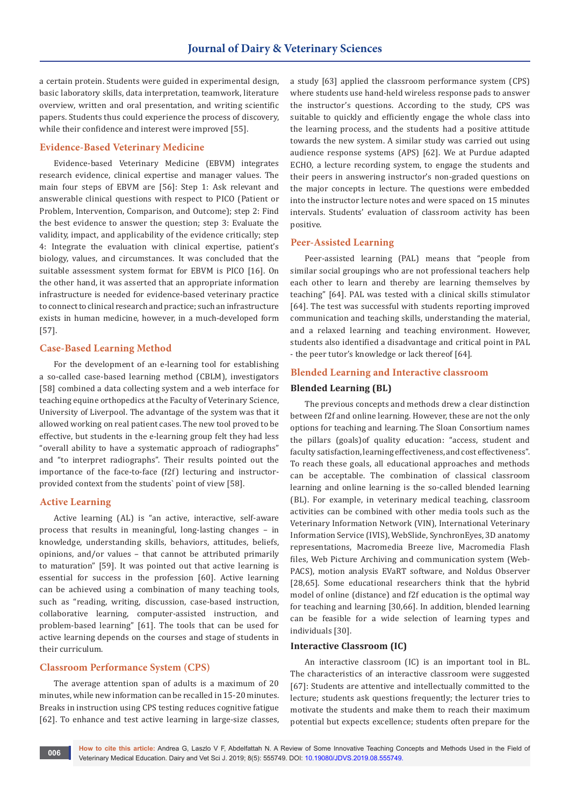a certain protein. Students were guided in experimental design, basic laboratory skills, data interpretation, teamwork, literature overview, written and oral presentation, and writing scientific papers. Students thus could experience the process of discovery, while their confidence and interest were improved [55].

# **Evidence-Based Veterinary Medicine**

Evidence-based Veterinary Medicine (EBVM) integrates research evidence, clinical expertise and manager values. The main four steps of EBVM are [56]: Step 1: Ask relevant and answerable clinical questions with respect to PICO (Patient or Problem, Intervention, Comparison, and Outcome); step 2: Find the best evidence to answer the question; step 3: Evaluate the validity, impact, and applicability of the evidence critically; step 4: Integrate the evaluation with clinical expertise, patient's biology, values, and circumstances. It was concluded that the suitable assessment system format for EBVM is PICO [16]. On the other hand, it was asserted that an appropriate information infrastructure is needed for evidence-based veterinary practice to connect to clinical research and practice; such an infrastructure exists in human medicine, however, in a much-developed form [57].

#### **Case-Based Learning Method**

For the development of an e-learning tool for establishing a so-called case-based learning method (CBLM), investigators [58] combined a data collecting system and a web interface for teaching equine orthopedics at the Faculty of Veterinary Science, University of Liverpool. The advantage of the system was that it allowed working on real patient cases. The new tool proved to be effective, but students in the e-learning group felt they had less "overall ability to have a systematic approach of radiographs" and "to interpret radiographs". Their results pointed out the importance of the face-to-face (f2f) lecturing and instructorprovided context from the students` point of view [58].

### **Active Learning**

Active learning (AL) is "an active, interactive, self-aware process that results in meaningful, long-lasting changes – in knowledge, understanding skills, behaviors, attitudes, beliefs, opinions, and/or values – that cannot be attributed primarily to maturation" [59]. It was pointed out that active learning is essential for success in the profession [60]. Active learning can be achieved using a combination of many teaching tools, such as "reading, writing, discussion, case-based instruction, collaborative learning, computer-assisted instruction, and problem-based learning" [61]. The tools that can be used for active learning depends on the courses and stage of students in their curriculum.

#### **Classroom Performance System (CPS)**

The average attention span of adults is a maximum of 20 minutes, while new information can be recalled in 15-20 minutes. Breaks in instruction using CPS testing reduces cognitive fatigue [62]. To enhance and test active learning in large-size classes,

a study [63] applied the classroom performance system (CPS) where students use hand-held wireless response pads to answer the instructor's questions. According to the study, CPS was suitable to quickly and efficiently engage the whole class into the learning process, and the students had a positive attitude towards the new system. A similar study was carried out using audience response systems (APS) [62]. We at Purdue adapted ECHO, a lecture recording system, to engage the students and their peers in answering instructor's non-graded questions on the major concepts in lecture. The questions were embedded into the instructor lecture notes and were spaced on 15 minutes intervals. Students' evaluation of classroom activity has been positive.

#### **Peer-Assisted Learning**

Peer-assisted learning (PAL) means that "people from similar social groupings who are not professional teachers help each other to learn and thereby are learning themselves by teaching" [64]. PAL was tested with a clinical skills stimulator [64]. The test was successful with students reporting improved communication and teaching skills, understanding the material, and a relaxed learning and teaching environment. However, students also identified a disadvantage and critical point in PAL - the peer tutor's knowledge or lack thereof [64].

#### **Blended Learning and Interactive classroom**

#### **Blended Learning (BL)**

The previous concepts and methods drew a clear distinction between f2f and online learning. However, these are not the only options for teaching and learning. The Sloan Consortium names the pillars (goals)of quality education: "access, student and faculty satisfaction, learning effectiveness, and cost effectiveness". To reach these goals, all educational approaches and methods can be acceptable. The combination of classical classroom learning and online learning is the so-called blended learning (BL). For example, in veterinary medical teaching, classroom activities can be combined with other media tools such as the Veterinary Information Network (VIN), International Veterinary Information Service (IVIS), WebSlide, SynchronEyes, 3D anatomy representations, Macromedia Breeze live, Macromedia Flash files, Web Picture Archiving and communication system (Web-PACS), motion analysis EVaRT software, and Noldus Observer [28,65]. Some educational researchers think that the hybrid model of online (distance) and f2f education is the optimal way for teaching and learning [30,66]. In addition, blended learning can be feasible for a wide selection of learning types and individuals [30].

#### **Interactive Classroom (IC)**

An interactive classroom (IC) is an important tool in BL. The characteristics of an interactive classroom were suggested [67]: Students are attentive and intellectually committed to the lecture; students ask questions frequently; the lecturer tries to motivate the students and make them to reach their maximum potential but expects excellence; students often prepare for the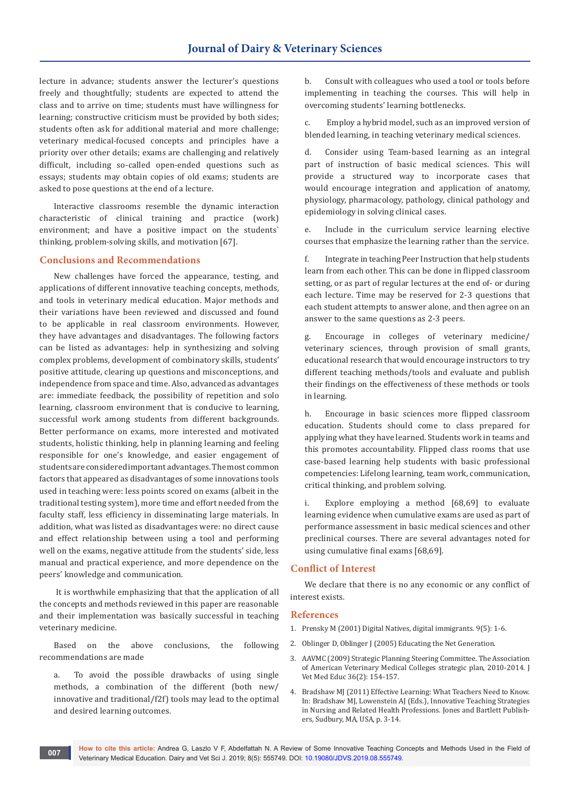lecture in advance; students answer the lecturer's questions freely and thoughtfully; students are expected to attend the class and to arrive on time; students must have willingness for learning; constructive criticism must be provided by both sides; students often ask for additional material and more challenge; veterinary medical-focused concepts and principles have a priority over other details; exams are challenging and relatively difficult, including so-called open-ended questions such as essays; students may obtain copies of old exams; students are asked to pose questions at the end of a lecture.

Interactive classrooms resemble the dynamic interaction characteristic of clinical training and practice (work) environment; and have a positive impact on the students` thinking, problem-solving skills, and motivation [67].

#### **Conclusions and Recommendations**

New challenges have forced the appearance, testing, and applications of different innovative teaching concepts, methods, and tools in veterinary medical education. Major methods and their variations have been reviewed and discussed and found to be applicable in real classroom environments. However, they have advantages and disadvantages. The following factors can be listed as advantages: help in synthesizing and solving complex problems, development of combinatory skills, students' positive attitude, clearing up questions and misconceptions, and independence from space and time. Also, advanced as advantages are: immediate feedback, the possibility of repetition and solo learning, classroom environment that is conducive to learning, successful work among students from different backgrounds. Better performance on exams, more interested and motivated students, holistic thinking, help in planning learning and feeling responsible for one's knowledge, and easier engagement of students are considered important advantages. The most common factors that appeared as disadvantages of some innovations tools used in teaching were: less points scored on exams (albeit in the traditional testing system), more time and effort needed from the faculty staff, less efficiency in disseminating large materials. In addition, what was listed as disadvantages were: no direct cause and effect relationship between using a tool and performing well on the exams, negative attitude from the students' side, less manual and practical experience, and more dependence on the peers' knowledge and communication.

 It is worthwhile emphasizing that that the application of all the concepts and methods reviewed in this paper are reasonable and their implementation was basically successful in teaching veterinary medicine.

Based on the above conclusions, the following recommendations are made

a. To avoid the possible drawbacks of using single methods, a combination of the different (both new/ innovative and traditional/f2f) tools may lead to the optimal and desired learning outcomes.

b. Consult with colleagues who used a tool or tools before implementing in teaching the courses. This will help in overcoming students' learning bottlenecks.

c. Employ a hybrid model, such as an improved version of blended learning, in teaching veterinary medical sciences.

d. Consider using Team-based learning as an integral part of instruction of basic medical sciences. This will provide a structured way to incorporate cases that would encourage integration and application of anatomy, physiology, pharmacology, pathology, clinical pathology and epidemiology in solving clinical cases.

e. Include in the curriculum service learning elective courses that emphasize the learning rather than the service.

f. Integrate in teaching Peer Instruction that help students learn from each other. This can be done in flipped classroom setting, or as part of regular lectures at the end of- or during each lecture. Time may be reserved for 2-3 questions that each student attempts to answer alone, and then agree on an answer to the same questions as 2-3 peers.

g. Encourage in colleges of veterinary medicine/ veterinary sciences, through provision of small grants, educational research that would encourage instructors to try different teaching methods/tools and evaluate and publish their findings on the effectiveness of these methods or tools in learning.

h. Encourage in basic sciences more flipped classroom education. Students should come to class prepared for applying what they have learned. Students work in teams and this promotes accountability. Flipped class rooms that use case-based learning help students with basic professional competencies: Lifelong learning, team work, communication, critical thinking, and problem solving.

i. Explore employing a method [68,69] to evaluate learning evidence when cumulative exams are used as part of performance assessment in basic medical sciences and other preclinical courses. There are several advantages noted for using cumulative final exams [68,69].

### **Conflict of Interest**

We declare that there is no any economic or any conflict of interest exists.

### **References**

- 1. Prensky M (2001) Digital Natives, digital immigrants. 9(5): 1-6.
- 2. Oblinger D, Oblinger J (2005) Educating the Net Generation.
- 3. AAVMC (2009) Strategic Planning Steering Committee. The Association of American Veterinary Medical Colleges strategic plan, 2010-2014. J Vet Med Educ 36(2): 154-157.
- 4. Bradshaw MJ (2011) Effective Learning: What Teachers Need to Know. In: Bradshaw MJ, Lowenstein AJ (Eds.), Innovative Teaching Strategies in Nursing and Related Health Professions. Jones and Bartlett Publishers, Sudbury, MA, USA, p. 3-14.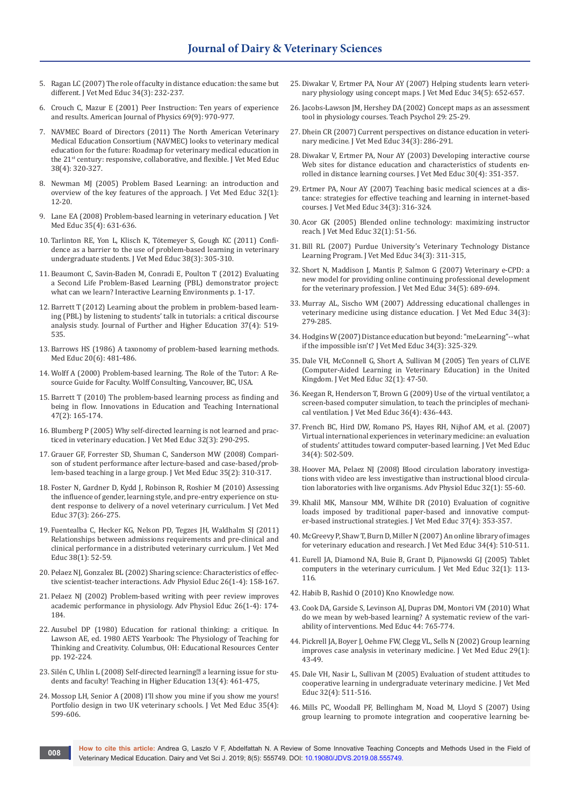- 5. Ragan LC (2007) The role of faculty in distance education: the same but different. J Vet Med Educ 34(3): 232-237.
- 6. [Crouch C, Mazur E \(2001\) Peer Instruction: Ten years of experience](https://aapt.scitation.org/doi/10.1119/1.1374249)  [and results. American Journal of Physics 69\(9\): 970-977.](https://aapt.scitation.org/doi/10.1119/1.1374249)
- 7. NAVMEC Board of Directors (2011) The North American Veterinary Medical Education Consortium (NAVMEC) looks to veterinary medical education for the future: Roadmap for veterinary medical education in the 21<sup>st</sup> century: responsive, collaborative, and flexible. J Vet Med Educ 38(4): 320-327.
- 8. [Newman MJ \(2005\) Problem Based Learning: an introduction and](https://www.ncbi.nlm.nih.gov/pubmed/15834816)  [overview of the key features of the approach. J Vet Med Educ 32\(1\):](https://www.ncbi.nlm.nih.gov/pubmed/15834816)  [12-20.](https://www.ncbi.nlm.nih.gov/pubmed/15834816)
- 9. [Lane EA \(2008\) Problem-based learning in veterinary education. J Vet](https://www.ncbi.nlm.nih.gov/pubmed/19228919)  [Med Educ 35\(4\): 631-636.](https://www.ncbi.nlm.nih.gov/pubmed/19228919)
- 10. [Tarlinton RE, Yon L, Klisch K, Tötemeyer S, Gough KC \(2011\) Confi](https://www.ncbi.nlm.nih.gov/pubmed/22023983)[dence as a barrier to the use of problem-based learning in veterinary](https://www.ncbi.nlm.nih.gov/pubmed/22023983)  [undergraduate students. J Vet Med Educ 38\(3\): 305-310.](https://www.ncbi.nlm.nih.gov/pubmed/22023983)
- 11. Beaumont C, Savin-Baden M, Conradi E, Poulton T (2012) Evaluating a Second Life Problem-Based Learning (PBL) demonstrator project: what can we learn? Interactive Learning Environments p. 1-17.
- 12. Barrett T (2012) Learning about the problem in problem-based learning (PBL) by listening to students' talk in tutorials: a critical discourse analysis study. Journal of Further and Higher Education 37(4): 519- 535.
- 13. [Barrows HS \(1986\) A taxonomy of problem-based learning methods.](https://www.ncbi.nlm.nih.gov/pubmed/3796328)  [Med Educ 20\(6\): 481-486.](https://www.ncbi.nlm.nih.gov/pubmed/3796328)
- 14. Wolff A (2000) Problem-based learning. The Role of the Tutor: A Resource Guide for Faculty. Wolff Consulting, Vancouver, BC, USA.
- 15. [Barrett T \(2010\) The problem-based learning process as finding and](https://www.tandfonline.com/doi/abs/10.1080/14703291003718901)  [being in flow. Innovations in Education and Teaching International](https://www.tandfonline.com/doi/abs/10.1080/14703291003718901)  [47\(2\): 165-174.](https://www.tandfonline.com/doi/abs/10.1080/14703291003718901)
- 16. [Blumberg P \(2005\) Why self-directed learning is not learned and prac](https://www.ncbi.nlm.nih.gov/pubmed/16261484)[ticed in veterinary education. J Vet Med Educ 32\(3\): 290-295.](https://www.ncbi.nlm.nih.gov/pubmed/16261484)
- 17. [Grauer GF, Forrester SD, Shuman C, Sanderson MW \(](https://www.ncbi.nlm.nih.gov/pubmed/18723821)2008) Compari[son of student performance after lecture-based and case-based/prob](https://www.ncbi.nlm.nih.gov/pubmed/18723821)[lem-based teaching in a large group. J Vet Med Educ 35\(2\): 310-317.](https://www.ncbi.nlm.nih.gov/pubmed/18723821)
- 18. [Foster N, Gardner D, Kydd J, Robinson R, Roshier M \(2010\) Assessing](https://www.ncbi.nlm.nih.gov/pubmed/20847336)  [the influence of gender, learning style, and pre-entry experience on stu](https://www.ncbi.nlm.nih.gov/pubmed/20847336)[dent response to delivery of a novel veterinary curriculum. J Vet Med](https://www.ncbi.nlm.nih.gov/pubmed/20847336)  [Educ 37\(3\): 266-275.](https://www.ncbi.nlm.nih.gov/pubmed/20847336)
- 19. [Fuentealba C, Hecker KG, Nelson PD, Tegzes JH, Waldhalm SJ \(2011\)](https://www.ncbi.nlm.nih.gov/pubmed/21805935)  [Relationships between admissions requirements and pre-clinical and](https://www.ncbi.nlm.nih.gov/pubmed/21805935)  [clinical performance in a distributed veterinary curriculum. J Vet Med](https://www.ncbi.nlm.nih.gov/pubmed/21805935)  [Educ 38\(1\): 52-59.](https://www.ncbi.nlm.nih.gov/pubmed/21805935)
- 20. Pelaez NJ, Gonzalez BL (2002) Sharing science: Characteristics of effective scientist-teacher interactions. Adv Physiol Educ 26(1-4): 158-167.
- 21. [Pelaez NJ \(2002\) Problem-based writing with peer review improves](https://www.ncbi.nlm.nih.gov/pubmed/12189125)  [academic performance in physiology. Adv Physiol Educ 26\(1-4\): 174-](https://www.ncbi.nlm.nih.gov/pubmed/12189125) [184.](https://www.ncbi.nlm.nih.gov/pubmed/12189125)
- 22. Ausubel DP (1980) Education for rational thinking: a critique. In Lawson AE, ed. 1980 AETS Yearbook: The Physiology of Teaching for Thinking and Creativity. Columbus, OH: Educational Resources Center pp. 192-224.
- 23. Silén C, Uhlin L (2008) Self-directed learning<sup>2</sup> a learning issue for students and faculty! Teaching in Higher Education 13(4): 461-475,
- 24. [Mossop LH, Senior A \(2008\) I'll show you mine if you show me yours!](https://www.ncbi.nlm.nih.gov/pubmed/19228915)  [Portfolio design in two UK veterinary schools. J Vet Med Educ 35\(4\):](https://www.ncbi.nlm.nih.gov/pubmed/19228915)  [599-606.](https://www.ncbi.nlm.nih.gov/pubmed/19228915)
- 25. [Diwakar V, Ertmer PA, Nour AY \(2007\) Helping students learn veteri](https://www.ncbi.nlm.nih.gov/pubmed/18326778)[nary physiology using concept maps. J Vet Med Educ 34\(5\): 652-657.](https://www.ncbi.nlm.nih.gov/pubmed/18326778)
- 26. [Jacobs-Lawson JM, Hershey DA \(2002\) Concept maps as an assessment](https://journals.sagepub.com/doi/abs/10.1207/S15328023TOP2901_06)  [tool in physiology courses. Teach Psychol 29: 25-29.](https://journals.sagepub.com/doi/abs/10.1207/S15328023TOP2901_06)
- 27. [Dhein CR \(2007\) Current perspectives on distance education in veteri](https://www.ncbi.nlm.nih.gov/pubmed/17673787)[nary medicine. J Vet Med Educ 34\(3\): 286-291.](https://www.ncbi.nlm.nih.gov/pubmed/17673787)
- 28. Diwakar V, Ertmer PA, Nour AY (2003) Developing interactive course Web sites for distance education and characteristics of students enrolled in distance learning courses. J Vet Med Educ 30(4): 351-357.
- 29. [Ertmer PA, Nour AY \(2007\) Teaching basic medical sciences at a dis](https://www.ncbi.nlm.nih.gov/pubmed/17673791)[tance: strategies for effective teaching and learning in internet-based](https://www.ncbi.nlm.nih.gov/pubmed/17673791)  [courses. J Vet Med Educ 34\(3\): 316-324.](https://www.ncbi.nlm.nih.gov/pubmed/17673791)
- 30. [Acor GK \(2005\) Blended online technology: maximizing instructor](https://www.ncbi.nlm.nih.gov/pubmed/15834821)  [reach. J Vet Med Educ 32\(1\): 51-56.](https://www.ncbi.nlm.nih.gov/pubmed/15834821)
- 31. Bill RL (2007) Purdue University's Veterinary Technology Distance Learning Program. J Vet Med Educ 34(3): 311-315,
- 32. [Short N, Maddison J, Mantis P, Salmon G \(2007\) Veterinary e-CPD: a](https://www.ncbi.nlm.nih.gov/pubmed/18326783)  [new model for providing online continuing professional development](https://www.ncbi.nlm.nih.gov/pubmed/18326783)  [for the veterinary profession. J Vet Med Educ 34\(5\): 689-694.](https://www.ncbi.nlm.nih.gov/pubmed/18326783)
- 33. [Murray AL, Sischo WM \(2007\) Addressing educational challenges in](https://www.ncbi.nlm.nih.gov/pubmed/17673786)  [veterinary medicine using distance education. J Vet Med Educ 34\(3\):](https://www.ncbi.nlm.nih.gov/pubmed/17673786)  [279-285.](https://www.ncbi.nlm.nih.gov/pubmed/17673786)
- 34. [Hodgins W \(2007\) Distance education but beyond: "meLearning"--what](https://www.ncbi.nlm.nih.gov/pubmed/17673792)  [if the impossible isn't? J Vet Med Educ 34\(3\): 325-329.](https://www.ncbi.nlm.nih.gov/pubmed/17673792)
- 35. [Dale VH, McConnell G, Short A, Sullivan M \(2005\) Ten years of CLIVE](https://www.ncbi.nlm.nih.gov/pubmed/15834820)  [\(Computer-Aided Learning in Veterinary Education\) in the United](https://www.ncbi.nlm.nih.gov/pubmed/15834820)  [Kingdom. J Vet Med Educ 32\(1\): 47-50.](https://www.ncbi.nlm.nih.gov/pubmed/15834820)
- 36. [Keegan R, Henderson T, Brown G \(2009\) Use of the virtual ventilator, a](https://www.ncbi.nlm.nih.gov/pubmed/20054083)  [screen-based computer simulation, to teach the principles of mechani](https://www.ncbi.nlm.nih.gov/pubmed/20054083)[cal ventilation. J Vet Med Educ 36\(4\): 436-443.](https://www.ncbi.nlm.nih.gov/pubmed/20054083)
- 37. [French BC, Hird DW, Romano PS, Hayes RH, Nijhof AM, et al. \(2007\)](https://www.ncbi.nlm.nih.gov/pubmed/18287480)  [Virtual international experiences in veterinary medicine: an evaluation](https://www.ncbi.nlm.nih.gov/pubmed/18287480)  [of students' attitudes toward computer-based learning. J Vet Med Educ](https://www.ncbi.nlm.nih.gov/pubmed/18287480)  [34\(4\): 502-509.](https://www.ncbi.nlm.nih.gov/pubmed/18287480)
- 38. Hoover MA, Pelaez NJ (2008) Blood circulation laboratory investigations with video are less investigative than instructional blood circulation laboratories with live organisms. Adv Physiol Educ 32(1): 55-60.
- 39. [Khalil MK, Mansour MM, Wilhite DR \(2010\) Evaluation of cognitive](https://www.ncbi.nlm.nih.gov/pubmed/21135402)  [loads imposed by traditional paper-based and innovative comput](https://www.ncbi.nlm.nih.gov/pubmed/21135402)[er-based instructional strategies. J Vet Med Educ 37\(4\): 353-357.](https://www.ncbi.nlm.nih.gov/pubmed/21135402)
- 40. [McGreevy P, Shaw T, Burn D, Miller N \(2007\) An online library of images](https://www.ncbi.nlm.nih.gov/pubmed/18287481)  [for veterinary education and research. J Vet Med Educ 34\(4\): 510-511.](https://www.ncbi.nlm.nih.gov/pubmed/18287481)
- 41. [Eurell JA, Diamond NA, Buie B, Grant D, Pijanowski GJ \(2005\) Tablet](https://www.ncbi.nlm.nih.gov/pubmed/15834829)  [computers in the veterinary curriculum. J Vet Med Educ 32\(1\): 113-](https://www.ncbi.nlm.nih.gov/pubmed/15834829) [116.](https://www.ncbi.nlm.nih.gov/pubmed/15834829)
- 42. Habib B, Rashid O (2010) Kno Knowledge now.
- 43. [Cook DA, Garside S, Levinson AJ, Dupras DM, Montori VM \(2010\) What](https://www.ncbi.nlm.nih.gov/pubmed/20633216)  [do we mean by web-based learning? A systematic review of the vari](https://www.ncbi.nlm.nih.gov/pubmed/20633216)[ability of interventions. Med Educ 44: 765-774.](https://www.ncbi.nlm.nih.gov/pubmed/20633216)
- 44. [Pickrell JA, Boyer J, Oehme FW, Clegg VL, Sells N \(2002\) Group learning](https://www.ncbi.nlm.nih.gov/pubmed/11932840)  [improves case analysis in veterinary medicine. J Vet Med Educ 29\(1\):](https://www.ncbi.nlm.nih.gov/pubmed/11932840)  [43-49.](https://www.ncbi.nlm.nih.gov/pubmed/11932840)
- 45. [Dale VH, Nasir L, Sullivan M \(2005\) Evaluation of student attitudes to](https://www.ncbi.nlm.nih.gov/pubmed/16421837)  [cooperative learning in undergraduate veterinary medicine. J Vet Med](https://www.ncbi.nlm.nih.gov/pubmed/16421837)  [Educ 32\(4\): 511-516.](https://www.ncbi.nlm.nih.gov/pubmed/16421837)
- 46. [Mills PC, Woodall PF, Bellingham M, Noad M, Lloyd S \(2007\) Using](https://www.ncbi.nlm.nih.gov/pubmed/17673796)  [group learning to promote integration and cooperative learning be-](https://www.ncbi.nlm.nih.gov/pubmed/17673796)